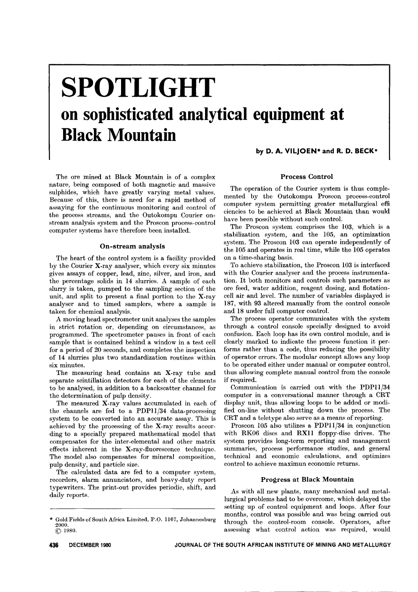# **SPOTLIGHT on sophisticated analytical equipment at Black Mountain**

by D. A. VILJOEN\* and R. D. BECK\*

The ore mined at Black Mountain is of a complex nature, being composed of both magnetic and massive sulphides, which have greatly varying metal values. Because of this, there is need for a rapid method of assaying for the continuous monitoring and control of the process streams, and the Outokompu Courier onstream analysis system and the Proscon process-control computer systems have therefore been installed.

#### On-stream analysis

The heart of the control system is a facility provided by the Courier X-ray analyser, which every six minutes gives assays of copper, lead, zinc, silver, and iron, and the percentage solids in 14 slurries. A sample of each slurry is taken, pumped to the sampling section of the unit, and split to present a final portion to the X-ray analyser and to timed samplers, where a sample is taken for chemical analysis.

A moving head spectrometer unit analyses the samples in strict rotation or, depending on circumstances, as programmed. The spectrometer pauses in front of each sample that is contained behind a window in a test cell for a period of 20 seconds, and completes the inspection of 14 slurries plus two standardization routines within six minutes.

The measuring head contains an X-ray tube and separate scintillation detectors for each of the elements to be analysed, in addition to a backscatter channel for the determination of pulp density.

The measured X-ray values accumulated in each of the channels are fed to a PDPll/34 data-processing system to be converted into an accurate assay. This is achieved by the processing of the X-ray results according to a specially prepared mathematical model that compensates for the inter-elemental and other matrix effects inherent in the X-ray-fluorescence technique. The model also compensates for mineral composition, pulp density, and particle size.

The calculated data are fed to a computer system, recorders, alarm annunciators, and heavy-duty report typewriters. The print-out provides periodic, shift, and daily reports.

#### Process Control

The operation of the Courier system is thus complemented by the Outokompu Proscon process-control computer system permitting greater metallurgical effi ciencies to be achieved at Black Mountain than would have been possible without such control.

The Proscon system comprises the 103, which is a stabilization system, and the 105, an optimization system. The Proscon 103 can operate independently of the 105 and operates in real time, while the 105 operates on a time-sharing basis.

To achieve stabilization, the Proscon 103 is interfaced with the Courier analyser and the process instrumentation. It both monitors and controls such parameters as ore feed, water addition, reagent dosing, and flotationcell air and level. The number of variables displayed is 187, with 93 altered manually from the control console and 18 under full computer control.

The process operator communicates with the system through a control console specially designed to avoid confusion. Each loop has its own control module, and is clearly marked to indicate the process function it performs rather than a code, thus reducing the possibility of operator errors. The modular concept allows any loop to be operated either under manual or computer control, thus allowing complete manual control from the console if required.

Communication is carried out with the PDPll/34 computer in a conversational manner through a CRT display unit, thus allowing loops to be added or modified on-line without shutting down the process. The CRT and a teletype also serve as a means of reporting.

Proscon 105 also utilizes a PDPll/34 in conjunction with RK06 discs and RXll floppy-disc drives. The system provides long-term reporting and management summaries, process performance studies, and general technical and economic calculations, and optimizes control to achieve maximun economic returns.

### Progress at Black Mountain

As with all new plants, many mechanical and metal. lurgical problems had to be overcome, which delayed the setting up of control equipment and loops. After four months, control was possible and was being carried out through the control-room console. Operators, after assessing what control action was required, would

<sup>\*</sup> GoldFields of South Africa Limited, P.O. 1167, Johannesburg 2000.  $© 1980.$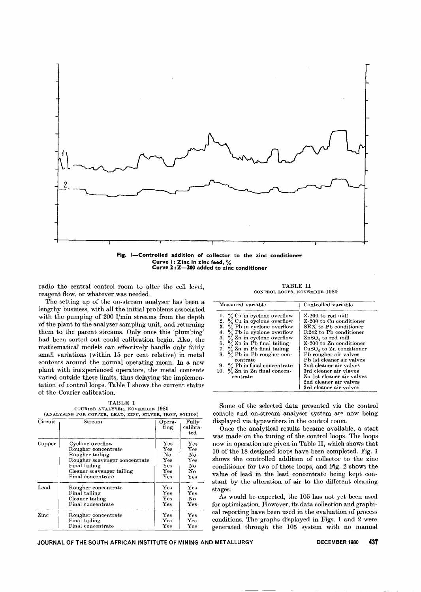

Curve I: Zinc in zinc feed, %<br>Curve 2: Z—200 added to zinc conditior

radio the central control room to alter the cell level, reagent flow, or whatever was needed.

The setting up of the on-stream analyser has been a lengthy business, with all the initial problems associated with the pumping of 200 l/min streams from the depth of the plant to the analyser sampling unit, and returning them to the parent streams. Only once this 'plumbing' had been sorted out could calibration begin. Also, the mathematical models can effectively handle only fairly small variations (within 15 per cent relative) in metal contents around the normal operating mean. In a new plant with inexperienced operators, the metal contents varied outside these limits, thus delaying the implementation of control loops. Table I shows the current status of the Courier calibration.

TABLE I COURIER ANALYSER, NOVEMBER 1980

| Circuit | Stream                        | Opera-<br>ting | Fully<br>calibra-<br>$_{\rm ted}$                                                                 |
|---------|-------------------------------|----------------|---------------------------------------------------------------------------------------------------|
| Copper  | Cyclone overflow              | Yes            | $_{\rm Yes}$                                                                                      |
|         | Rougher concentrate           | Yes            | $\operatorname*{Yes}% \left( X\right) \equiv\operatorname*{Yes}\left( X\right) , \label{eq:Yes}%$ |
|         | Rougher tailing               | No.            | No                                                                                                |
|         | Rougher scavenger concentrate | $\mathbf{Yes}$ | $\mathbf{Yes}$                                                                                    |
|         | Final tailing                 | $\mathbf{Yes}$ | No                                                                                                |
|         | Cleaner scavenger tailing     | $_{\rm Yes}$   | No.                                                                                               |
|         | Final concentrate             | $_{\rm Yes}$   | Yes                                                                                               |
| Lead    | Rougher concentrate           | Yes            | Yes                                                                                               |
|         | Final tailing                 | Yes            | $_{\rm Yes}$                                                                                      |
|         | Cleaner tailing               | Yes            | No                                                                                                |
|         | Final concentrate             | $_{\rm Yes}$   | $_{\rm Yes}$                                                                                      |
| Zine    | Rougher concentrate           | Yes            | Yes                                                                                               |
|         | Final tailing                 | Yes            | Yes                                                                                               |
|         | Final concentrate             | $_{\rm Yes}$   | $_{\rm Yes}$                                                                                      |

TABLE II CONTROL LOOPS, NOVEMBER 1980

| Measured variable                                                                                                                                                                                                                                                                                                                                                                                 | Controlled variable                                                                                                                                                                                                                                                                                                                                                                 |  |
|---------------------------------------------------------------------------------------------------------------------------------------------------------------------------------------------------------------------------------------------------------------------------------------------------------------------------------------------------------------------------------------------------|-------------------------------------------------------------------------------------------------------------------------------------------------------------------------------------------------------------------------------------------------------------------------------------------------------------------------------------------------------------------------------------|--|
| 1. $\%$ Cu in cyclone overflow<br>2. $\frac{6}{6}$ Cu in cyclone overflow<br>3. $\frac{6}{6}$ Pb in cyclone overflow<br>4. $\frac{6}{6}$ Pb in cyclone overflow<br>5. $\%$ Zn in cyclone overflow<br>6. $\%$ Zn in Pb final tailing<br>7. % Zn in Pb final tailing<br>8. $\%$ Pb in Pb rougher con-<br>centrate<br>9. $\%$ Pb in final concentrate<br>10. $\%$ Zn in Zn final concen-<br>centrate | Z-200 to rod mill<br>Z-200 to Cu conditioner<br>SEX to Pb conditioner<br>$R242$ to Ph conditioner<br>$\text{ZnSO}_4$ to rod mill<br>Z-200 to Zn conditioner<br>$CuSO4$ to Zn conditioner<br>Pb rougher air valves<br>Pb 1st cleaner air valves<br>2nd cleaner air valves<br>3rd cleaner air vlaves<br>Zn 1st cleaner air valves<br>2nd cleaner air valves<br>3rd cleaner air valves |  |

Some of the selected data presented via the control console and on-stream analyser system are now being displayed via typewriters in the control room.

Once the analytical results became available, a start was made on the tuning of the control loops. The loops now in operation are given in Table II, which shows that 10 of the 18 designed loops have been completed. Fig. 1 shows the controlled addition of collector to the zinc conditioner for two of these loops, and Fig. 2 shows the value of lead in the lead concentrate being kept constant by the alteration of air to the different cleaning stages.

As would be expected, the 105 has not yet been used for optimization. However, its data collection and graphical reporting have been used in the evaluation of process conditions. The graphs displayed in Figs. 1 and 2 were generated through the 105 system with no manual